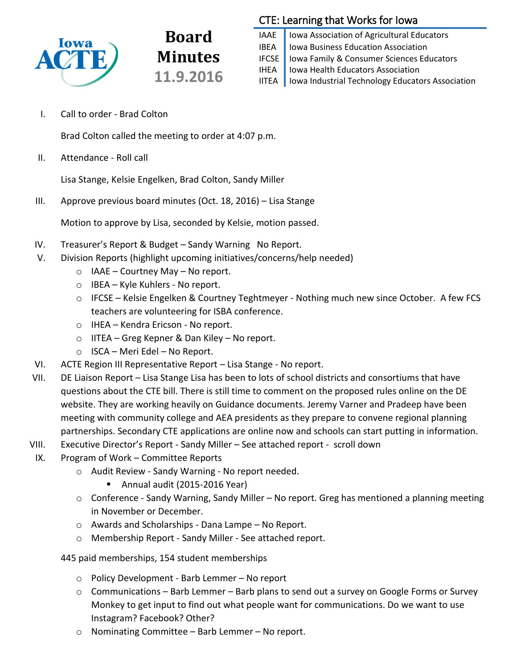

CTE: Learning that Works for Iowa

IAAE | Iowa Association of Agricultural Educators IBEA | Iowa Business Education Association IFCSE Iowa Family & Consumer Sciences Educators IHEA | Iowa Health Educators Association IITEA | Iowa Industrial Technology Educators Association

I. Call to order - Brad Colton

Brad Colton called the meeting to order at 4:07 p.m.

**Board**

**Minutes**

**11.9.2016**

II. Attendance - Roll call

Lisa Stange, Kelsie Engelken, Brad Colton, Sandy Miller

III. Approve previous board minutes (Oct. 18, 2016) – Lisa Stange

Motion to approve by Lisa, seconded by Kelsie, motion passed.

- IV. Treasurer's Report & Budget Sandy Warning No Report.
- V. Division Reports (highlight upcoming initiatives/concerns/help needed)
	- $\circ$  IAAE Courtney May No report.
	- o IBEA Kyle Kuhlers No report.
	- o IFCSE Kelsie Engelken & Courtney Teghtmeyer Nothing much new since October. A few FCS teachers are volunteering for ISBA conference.
	- o IHEA Kendra Ericson No report.
	- o IITEA Greg Kepner & Dan Kiley No report.
	- o ISCA Meri Edel No Report.
- VI. ACTE Region III Representative Report Lisa Stange No report.
- VII. DE Liaison Report Lisa Stange Lisa has been to lots of school districts and consortiums that have questions about the CTE bill. There is still time to comment on the proposed rules online on the DE website. They are working heavily on Guidance documents. Jeremy Varner and Pradeep have been meeting with community college and AEA presidents as they prepare to convene regional planning partnerships. Secondary CTE applications are online now and schools can start putting in information.
- VIII. Executive Director's Report Sandy Miller See attached report scroll down
- IX. Program of Work Committee Reports
	- o Audit Review Sandy Warning No report needed.
		- Annual audit (2015-2016 Year)
	- o Conference Sandy Warning, Sandy Miller No report. Greg has mentioned a planning meeting in November or December.
	- o Awards and Scholarships Dana Lampe No Report.
	- o Membership Report Sandy Miller See attached report.

445 paid memberships, 154 student memberships

- o Policy Development Barb Lemmer No report
- $\circ$  Communications Barb Lemmer Barb plans to send out a survey on Google Forms or Survey Monkey to get input to find out what people want for communications. Do we want to use Instagram? Facebook? Other?
- o Nominating Committee Barb Lemmer No report.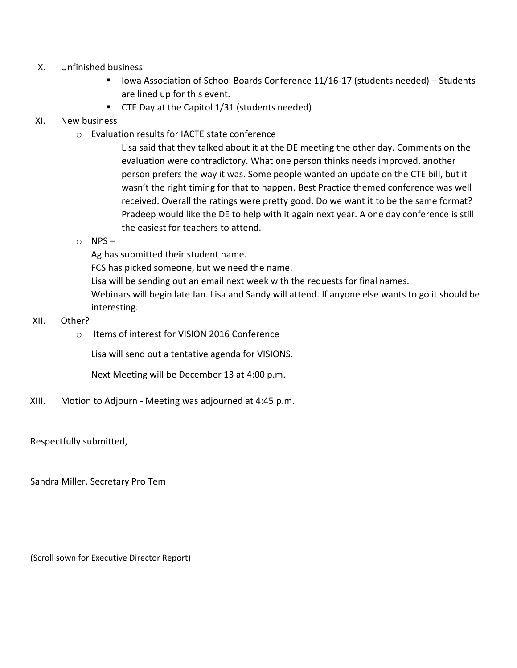- X. Unfinished business
	- Iowa Association of School Boards Conference 11/16-17 (students needed) Students are lined up for this event.
	- **CTE Day at the Capitol 1/31 (students needed)**

### XI. New business

o Evaluation results for IACTE state conference

Lisa said that they talked about it at the DE meeting the other day. Comments on the evaluation were contradictory. What one person thinks needs improved, another person prefers the way it was. Some people wanted an update on the CTE bill, but it wasn't the right timing for that to happen. Best Practice themed conference was well received. Overall the ratings were pretty good. Do we want it to be the same format? Pradeep would like the DE to help with it again next year. A one day conference is still the easiest for teachers to attend.

 $O$  NPS –

Ag has submitted their student name.

FCS has picked someone, but we need the name.

Lisa will be sending out an email next week with the requests for final names.

Webinars will begin late Jan. Lisa and Sandy will attend. If anyone else wants to go it should be interesting.

- XII. Other?
	- o Items of interest for VISION 2016 Conference

Lisa will send out a tentative agenda for VISIONS.

Next Meeting will be December 13 at 4:00 p.m.

XIII. Motion to Adjourn - Meeting was adjourned at 4:45 p.m.

Respectfully submitted,

Sandra Miller, Secretary Pro Tem

(Scroll sown for Executive Director Report)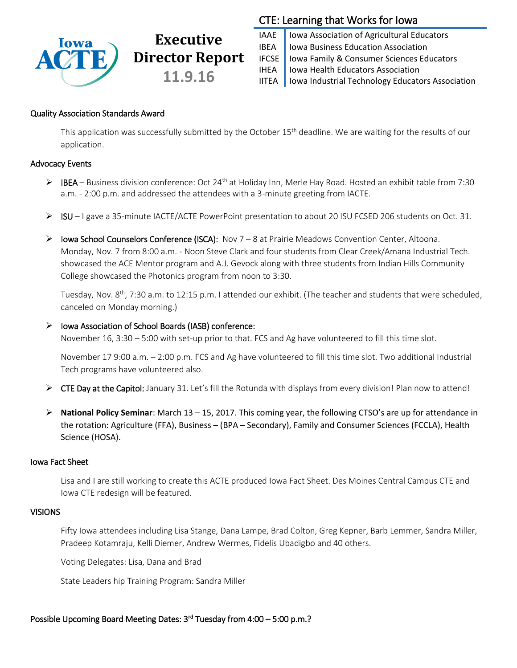

# **Executive Director Report 11.9.16**

## CTE: Learning that Works for Iowa

IAAE | Iowa Association of Agricultural Educators IBEA | Iowa Business Education Association IFCSE Iowa Family & Consumer Sciences Educators IHEA | Iowa Health Educators Association IITEA | Iowa Industrial Technology Educators Association

### Quality Association Standards Award

This application was successfully submitted by the October  $15<sup>th</sup>$  deadline. We are waiting for the results of our application.

### Advocacy Events

- ▶ IBEA Business division conference: Oct 24<sup>th</sup> at Holiday Inn, Merle Hay Road. Hosted an exhibit table from 7:30 a.m. - 2:00 p.m. and addressed the attendees with a 3-minute greeting from IACTE.
- ISU I gave a 35-minute IACTE/ACTE PowerPoint presentation to about 20 ISU FCSED 206 students on Oct. 31.
- $\triangleright$  Iowa School Counselors Conference (ISCA): Nov 7 8 at Prairie Meadows Convention Center, Altoona. Monday, Nov. 7 from 8:00 a.m. - Noon Steve Clark and four students from Clear Creek/Amana Industrial Tech. showcased the ACE Mentor program and A.J. Gevock along with three students from Indian Hills Community College showcased the Photonics program from noon to 3:30.

Tuesday, Nov. 8<sup>th</sup>, 7:30 a.m. to 12:15 p.m. I attended our exhibit. (The teacher and students that were scheduled, canceled on Monday morning.)

### $\triangleright$  Iowa Association of School Boards (IASB) conference:

November 16, 3:30 – 5:00 with set-up prior to that. FCS and Ag have volunteered to fill this time slot.

November 17 9:00 a.m. – 2:00 p.m. FCS and Ag have volunteered to fill this time slot. Two additional Industrial Tech programs have volunteered also.

- ▶ CTE Day at the Capitol: January 31. Let's fill the Rotunda with displays from every division! Plan now to attend!
- **National Policy Seminar**: March 13 15, 2017. This coming year, the following CTSO's are up for attendance in the rotation: Agriculture (FFA), Business – (BPA – Secondary), Family and Consumer Sciences (FCCLA), Health Science (HOSA).

### Iowa Fact Sheet

Lisa and I are still working to create this ACTE produced Iowa Fact Sheet. Des Moines Central Campus CTE and Iowa CTE redesign will be featured.

### VISIONS

Fifty Iowa attendees including Lisa Stange, Dana Lampe, Brad Colton, Greg Kepner, Barb Lemmer, Sandra Miller, Pradeep Kotamraju, Kelli Diemer, Andrew Wermes, Fidelis Ubadigbo and 40 others.

Voting Delegates: Lisa, Dana and Brad

State Leaders hip Training Program: Sandra Miller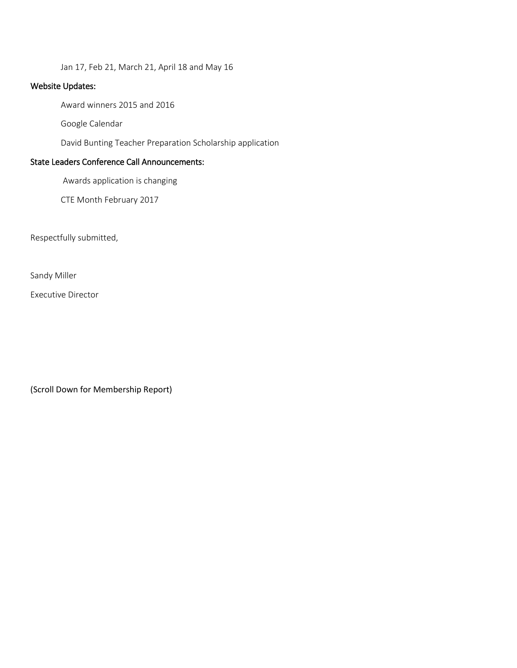Jan 17, Feb 21, March 21, April 18 and May 16

### Website Updates:

Award winners 2015 and 2016

Google Calendar

David Bunting Teacher Preparation Scholarship application

### State Leaders Conference Call Announcements:

Awards application is changing

CTE Month February 2017

Respectfully submitted,

Sandy Miller

Executive Director

(Scroll Down for Membership Report)